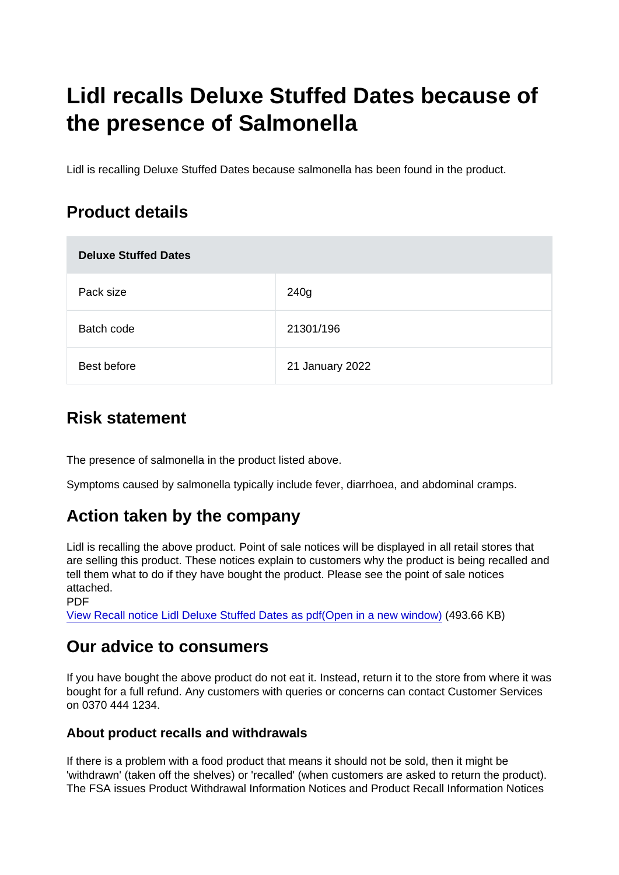# Lidl recalls Deluxe Stuffed Dates because of the presence of Salmonella

Lidl is recalling Deluxe Stuffed Dates because salmonella has been found in the product.

# Product details

| <b>Deluxe Stuffed Dates</b> |                 |
|-----------------------------|-----------------|
| Pack size                   | 240g            |
| Batch code                  | 21301/196       |
| Best before                 | 21 January 2022 |

### Risk statement

The presence of salmonella in the product listed above.

Symptoms caused by salmonella typically include fever, diarrhoea, and abdominal cramps.

# Action taken by the company

Lidl is recalling the above product. Point of sale notices will be displayed in all retail stores that are selling this product. These notices explain to customers why the product is being recalled and tell them what to do if they have bought the product. Please see the point of sale notices attached.

PDF

[View Recall notice Lidl Deluxe Stuffed Dates as pdf\(Open in a new window\)](https://s3-eu-west-1.amazonaws.com/fsa-alerts-files/production/FSA-PRIN-54-2021/Recall-notice-Lidl-Deluxe-stuffed-dates.pdf) (493.66 KB)

## Our advice to consumers

If you have bought the above product do not eat it. Instead, return it to the store from where it was bought for a full refund. Any customers with queries or concerns can contact Customer Services on 0370 444 1234.

#### About product recalls and withdrawals

If there is a problem with a food product that means it should not be sold, then it might be 'withdrawn' (taken off the shelves) or 'recalled' (when customers are asked to return the product). The FSA issues Product Withdrawal Information Notices and Product Recall Information Notices